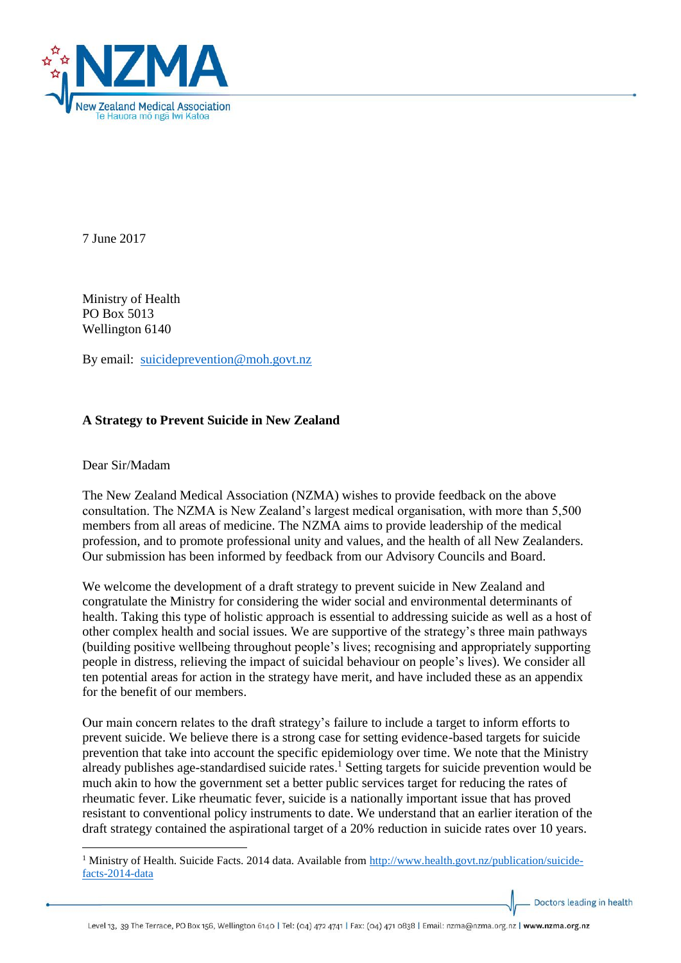

7 June 2017

Ministry of Health PO Box 5013 Wellington 6140

By email: [suicideprevention@moh.govt.nz](mailto:suicideprevention@moh.govt.nz)

# **A Strategy to Prevent Suicide in New Zealand**

## Dear Sir/Madam

The New Zealand Medical Association (NZMA) wishes to provide feedback on the above consultation. The NZMA is New Zealand's largest medical organisation, with more than 5,500 members from all areas of medicine. The NZMA aims to provide leadership of the medical profession, and to promote professional unity and values, and the health of all New Zealanders. Our submission has been informed by feedback from our Advisory Councils and Board.

We welcome the development of a draft strategy to prevent suicide in New Zealand and congratulate the Ministry for considering the wider social and environmental determinants of health. Taking this type of holistic approach is essential to addressing suicide as well as a host of other complex health and social issues. We are supportive of the strategy's three main pathways (building positive wellbeing throughout people's lives; recognising and appropriately supporting people in distress, relieving the impact of suicidal behaviour on people's lives). We consider all ten potential areas for action in the strategy have merit, and have included these as an appendix for the benefit of our members.

Our main concern relates to the draft strategy's failure to include a target to inform efforts to prevent suicide. We believe there is a strong case for setting evidence-based targets for suicide prevention that take into account the specific epidemiology over time. We note that the Ministry already publishes age-standardised suicide rates. <sup>1</sup> Setting targets for suicide prevention would be much akin to how the government set a better public services target for reducing the rates of rheumatic fever. Like rheumatic fever, suicide is a nationally important issue that has proved resistant to conventional policy instruments to date. We understand that an earlier iteration of the draft strategy contained the aspirational target of a 20% reduction in suicide rates over 10 years.

Doctors leading in health

**<sup>.</sup>** <sup>1</sup> Ministry of Health. Suicide Facts. 2014 data. Available from [http://www.health.govt.nz/publication/suicide](http://www.health.govt.nz/publication/suicide-facts-2014-data)[facts-2014-data](http://www.health.govt.nz/publication/suicide-facts-2014-data)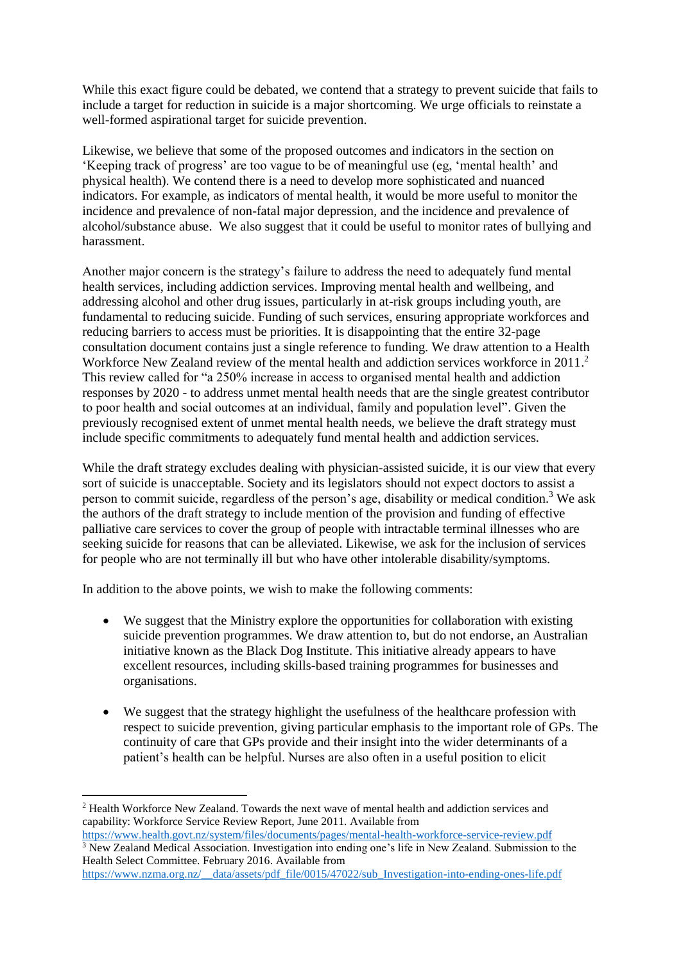While this exact figure could be debated, we contend that a strategy to prevent suicide that fails to include a target for reduction in suicide is a major shortcoming. We urge officials to reinstate a well-formed aspirational target for suicide prevention.

Likewise, we believe that some of the proposed outcomes and indicators in the section on 'Keeping track of progress' are too vague to be of meaningful use (eg, 'mental health' and physical health). We contend there is a need to develop more sophisticated and nuanced indicators. For example, as indicators of mental health, it would be more useful to monitor the incidence and prevalence of non-fatal major depression, and the incidence and prevalence of alcohol/substance abuse. We also suggest that it could be useful to monitor rates of bullying and harassment.

Another major concern is the strategy's failure to address the need to adequately fund mental health services, including addiction services. Improving mental health and wellbeing, and addressing alcohol and other drug issues, particularly in at-risk groups including youth, are fundamental to reducing suicide. Funding of such services, ensuring appropriate workforces and reducing barriers to access must be priorities. It is disappointing that the entire 32-page consultation document contains just a single reference to funding. We draw attention to a Health Workforce New Zealand review of the mental health and addiction services workforce in 2011.<sup>2</sup> This review called for "a 250% increase in access to organised mental health and addiction responses by 2020 - to address unmet mental health needs that are the single greatest contributor to poor health and social outcomes at an individual, family and population level". Given the previously recognised extent of unmet mental health needs, we believe the draft strategy must include specific commitments to adequately fund mental health and addiction services.

While the draft strategy excludes dealing with physician-assisted suicide, it is our view that every sort of suicide is unacceptable. Society and its legislators should not expect doctors to assist a person to commit suicide, regardless of the person's age, disability or medical condition.<sup>3</sup> We ask the authors of the draft strategy to include mention of the provision and funding of effective palliative care services to cover the group of people with intractable terminal illnesses who are seeking suicide for reasons that can be alleviated. Likewise, we ask for the inclusion of services for people who are not terminally ill but who have other intolerable disability/symptoms.

In addition to the above points, we wish to make the following comments:

- We suggest that the Ministry explore the opportunities for collaboration with existing suicide prevention programmes. We draw attention to, but do not endorse, an Australian initiative known as the Black Dog Institute. This initiative already appears to have excellent resources, including skills-based training programmes for businesses and organisations.
- We suggest that the strategy highlight the usefulness of the healthcare profession with respect to suicide prevention, giving particular emphasis to the important role of GPs. The continuity of care that GPs provide and their insight into the wider determinants of a patient's health can be helpful. Nurses are also often in a useful position to elicit

<https://www.health.govt.nz/system/files/documents/pages/mental-health-workforce-service-review.pdf> <sup>3</sup> New Zealand Medical Association. Investigation into ending one's life in New Zealand. Submission to the Health Select Committee. February 2016. Available from

```
https://www.nzma.org.nz/__data/assets/pdf_file/0015/47022/sub_Investigation-into-ending-ones-life.pdf
```
<sup>1</sup> <sup>2</sup> Health Workforce New Zealand. Towards the next wave of mental health and addiction services and capability: Workforce Service Review Report, June 2011. Available from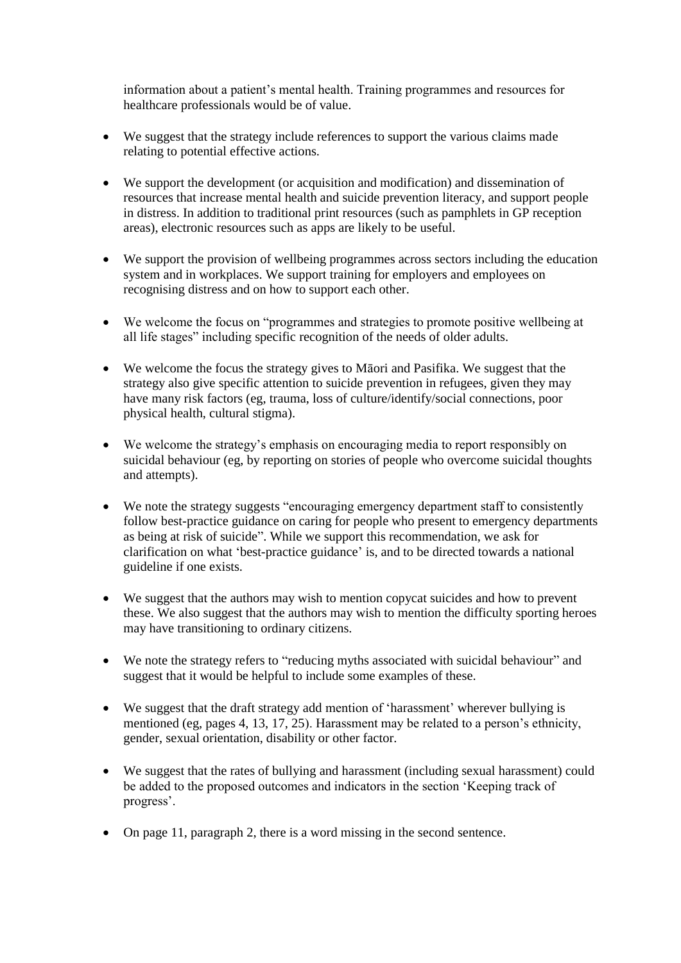information about a patient's mental health. Training programmes and resources for healthcare professionals would be of value.

- We suggest that the strategy include references to support the various claims made relating to potential effective actions.
- We support the development (or acquisition and modification) and dissemination of resources that increase mental health and suicide prevention literacy, and support people in distress. In addition to traditional print resources (such as pamphlets in GP reception areas), electronic resources such as apps are likely to be useful.
- We support the provision of wellbeing programmes across sectors including the education system and in workplaces. We support training for employers and employees on recognising distress and on how to support each other.
- We welcome the focus on "programmes and strategies to promote positive wellbeing at all life stages" including specific recognition of the needs of older adults.
- We welcome the focus the strategy gives to Māori and Pasifika. We suggest that the strategy also give specific attention to suicide prevention in refugees, given they may have many risk factors (eg, trauma, loss of culture/identify/social connections, poor physical health, cultural stigma).
- We welcome the strategy's emphasis on encouraging media to report responsibly on suicidal behaviour (eg, by reporting on stories of people who overcome suicidal thoughts and attempts).
- We note the strategy suggests "encouraging emergency department staff to consistently follow best-practice guidance on caring for people who present to emergency departments as being at risk of suicide". While we support this recommendation, we ask for clarification on what 'best-practice guidance' is, and to be directed towards a national guideline if one exists.
- We suggest that the authors may wish to mention copycat suicides and how to prevent these. We also suggest that the authors may wish to mention the difficulty sporting heroes may have transitioning to ordinary citizens.
- We note the strategy refers to "reducing myths associated with suicidal behaviour" and suggest that it would be helpful to include some examples of these.
- We suggest that the draft strategy add mention of 'harassment' wherever bullying is mentioned (eg, pages 4, 13, 17, 25). Harassment may be related to a person's ethnicity, gender, sexual orientation, disability or other factor.
- We suggest that the rates of bullying and harassment (including sexual harassment) could be added to the proposed outcomes and indicators in the section 'Keeping track of progress'.
- On page 11, paragraph 2, there is a word missing in the second sentence.